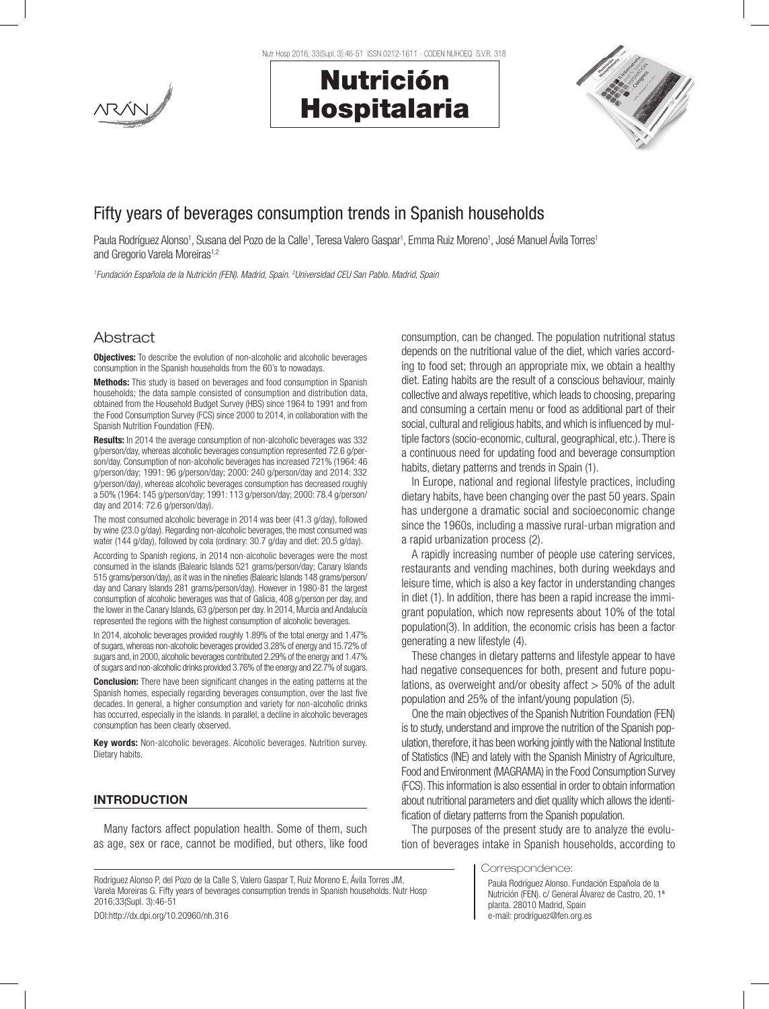

Nutr Hosp 2016; 33(Supl. 3):46-51 ISSN 0212-1611 - CODEN NUHOEQ S.V.R. 318

# Nutrición Hospitalaria



# Fifty years of beverages consumption trends in Spanish households

Paula Rodríguez Alonso<sup>1</sup>, Susana del Pozo de la Calle<sup>1</sup>, Teresa Valero Gaspar<sup>1</sup>, Emma Ruiz Moreno<sup>1</sup>, José Manuel Ávila Torres<sup>1</sup> and Gregorio Varela Moreiras<sup>1,2</sup>

*1 Fundación Española de la Nutrición (FEN). Madrid, Spain. 2 Universidad CEU San Pablo. Madrid, Spain*

# Abstract

**Objectives:** To describe the evolution of non-alcoholic and alcoholic beverages consumption in the Spanish households from the 60's to nowadays.

**Methods:** This study is based on beverages and food consumption in Spanish households; the data sample consisted of consumption and distribution data, obtained from the Household Budget Survey (HBS) since 1964 to 1991 and from the Food Consumption Survey (FCS) since 2000 to 2014, in collaboration with the Spanish Nutrition Foundation (FEN).

Results: In 2014 the average consumption of non-alcoholic beverages was 332 g/person/day, whereas alcoholic beverages consumption represented 72.6 g/person/day. Consumption of non-alcoholic beverages has increased 721% (1964: 46 g/person/day; 1991: 96 g/person/day; 2000: 240 g/person/day and 2014: 332 g/person/day), whereas alcoholic beverages consumption has decreased roughly a 50% (1964: 145 g/person/day; 1991: 113 g/person/day; 2000: 78.4 g/person/ day and 2014: 72.6 g/person/day).

The most consumed alcoholic beverage in 2014 was beer (41.3 g/day), followed by wine (23.0 g/day). Regarding non-alcoholic beverages, the most consumed was water (144 g/day), followed by cola (ordinary: 30.7 g/day and diet: 20.5 g/day).

According to Spanish regions, in 2014 non-alcoholic beverages were the most consumed in the islands (Balearic Islands 521 grams/person/day; Canary Islands 515 grams/person/day), as it was in the nineties (Balearic Islands 148 grams/person/ day and Canary Islands 281 grams/person/day). However in 1980-81 the largest consumption of alcoholic beverages was that of Galicia, 408 g/person per day, and the lower in the Canary Islands, 63 g/person per day. In 2014, Murcia and Andalucía represented the regions with the highest consumption of alcoholic beverages.

In 2014, alcoholic beverages provided roughly 1.89% of the total energy and 1.47% of sugars, whereas non-alcoholic beverages provided 3.28% of energy and 15.72% of sugars and, in 2000, alcoholic beverages contributed 2.29% of the energy and 1.47% of sugars and non-alcoholic drinks provided 3.76% of the energy and 22.7% of sugars.

**Conclusion:** There have been significant changes in the eating patterns at the Spanish homes, especially regarding beverages consumption, over the last five decades. In general, a higher consumption and variety for non-alcoholic drinks has occurred, especially in the islands. In parallel, a decline in alcoholic beverages consumption has been clearly observed.

Key words: Non-alcoholic beverages. Alcoholic beverages. Nutrition survey. Dietary habits.

### INTRODUCTION

Many factors affect population health. Some of them, such as age, sex or race, cannot be modified, but others, like food

Rodríguez Alonso P, del Pozo de la Calle S, Valero Gaspar T, Ruiz Moreno E, Ávila Torres JM, Varela Moreiras G. Fifty years of beverages consumption trends in Spanish households. Nutr Hosp 2016;33(Supl. 3):46-51

DOI:http://dx.dpi.org/10.20960/nh.316

consumption, can be changed. The population nutritional status depends on the nutritional value of the diet, which varies according to food set; through an appropriate mix, we obtain a healthy diet. Eating habits are the result of a conscious behaviour, mainly collective and always repetitive, which leads to choosing, preparing and consuming a certain menu or food as additional part of their social, cultural and religious habits, and which is influenced by multiple factors (socio-economic, cultural, geographical, etc.). There is a continuous need for updating food and beverage consumption habits, dietary patterns and trends in Spain (1).

In Europe, national and regional lifestyle practices, including dietary habits, have been changing over the past 50 years. Spain has undergone a dramatic social and socioeconomic change since the 1960s, including a massive rural-urban migration and a rapid urbanization process (2).

A rapidly increasing number of people use catering services, restaurants and vending machines, both during weekdays and leisure time, which is also a key factor in understanding changes in diet (1). In addition, there has been a rapid increase the immigrant population, which now represents about 10% of the total population(3). In addition, the economic crisis has been a factor generating a new lifestyle (4).

These changes in dietary patterns and lifestyle appear to have had negative consequences for both, present and future populations, as overweight and/or obesity affect > 50% of the adult population and 25% of the infant/young population (5).

One the main objectives of the Spanish Nutrition Foundation (FEN) is to study, understand and improve the nutrition of the Spanish population, therefore, it has been working jointly with the National Institute of Statistics (INE) and lately with the Spanish Ministry of Agriculture, Food and Environment (MAGRAMA) in the Food Consumption Survey (FCS). This information is also essential in order to obtain information about nutritional parameters and diet quality which allows the identification of dietary patterns from the Spanish population.

The purposes of the present study are to analyze the evolution of beverages intake in Spanish households, according to

Correspondence:

Paula Rodríguez Alonso. Fundación Española de la Nutrición (FEN). c/ General Álvarez de Castro, 20, 1ª planta. 28010 Madrid, Spain e-mail: prodriguez@fen.org.es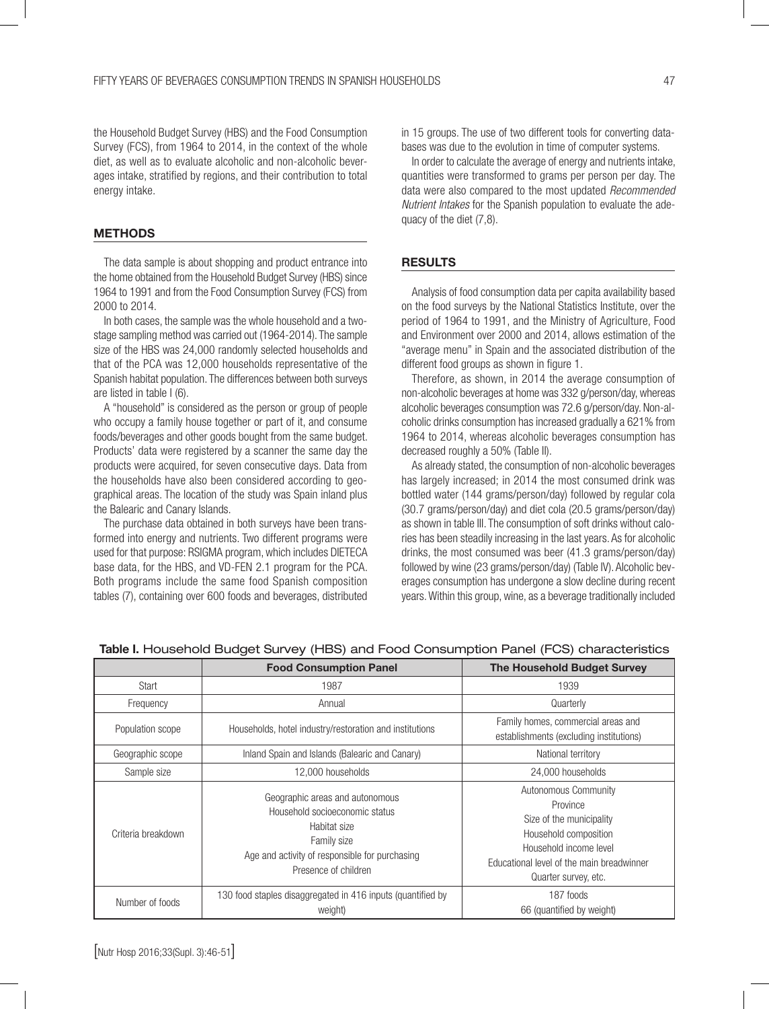the Household Budget Survey (HBS) and the Food Consumption Survey (FCS), from 1964 to 2014, in the context of the whole diet, as well as to evaluate alcoholic and non-alcoholic beverages intake, stratified by regions, and their contribution to total energy intake.

#### **METHODS**

The data sample is about shopping and product entrance into the home obtained from the Household Budget Survey (HBS) since 1964 to 1991 and from the Food Consumption Survey (FCS) from 2000 to 2014.

In both cases, the sample was the whole household and a twostage sampling method was carried out (1964-2014). The sample size of the HBS was 24,000 randomly selected households and that of the PCA was 12,000 households representative of the Spanish habitat population. The differences between both surveys are listed in table I (6).

A "household" is considered as the person or group of people who occupy a family house together or part of it, and consume foods/beverages and other goods bought from the same budget. Products' data were registered by a scanner the same day the products were acquired, for seven consecutive days. Data from the households have also been considered according to geographical areas. The location of the study was Spain inland plus the Balearic and Canary Islands.

The purchase data obtained in both surveys have been transformed into energy and nutrients. Two different programs were used for that purpose: RSIGMA program, which includes DIETECA base data, for the HBS, and VD-FEN 2.1 program for the PCA. Both programs include the same food Spanish composition tables (7), containing over 600 foods and beverages, distributed in 15 groups. The use of two different tools for converting databases was due to the evolution in time of computer systems.

In order to calculate the average of energy and nutrients intake, quantities were transformed to grams per person per day. The data were also compared to the most updated *Recommended Nutrient Intakes* for the Spanish population to evaluate the adequacy of the diet (7,8).

#### RESULTS

Analysis of food consumption data per capita availability based on the food surveys by the National Statistics Institute, over the period of 1964 to 1991, and the Ministry of Agriculture, Food and Environment over 2000 and 2014, allows estimation of the "average menu" in Spain and the associated distribution of the different food groups as shown in figure 1.

Therefore, as shown, in 2014 the average consumption of non-alcoholic beverages at home was 332 g/person/day, whereas alcoholic beverages consumption was 72.6 g/person/day. Non-alcoholic drinks consumption has increased gradually a 621% from 1964 to 2014, whereas alcoholic beverages consumption has decreased roughly a 50% (Table II).

As already stated, the consumption of non-alcoholic beverages has largely increased; in 2014 the most consumed drink was bottled water (144 grams/person/day) followed by regular cola (30.7 grams/person/day) and diet cola (20.5 grams/person/day) as shown in table III. The consumption of soft drinks without calories has been steadily increasing in the last years. As for alcoholic drinks, the most consumed was beer (41.3 grams/person/day) followed by wine (23 grams/person/day) (Table IV). Alcoholic beverages consumption has undergone a slow decline during recent years. Within this group, wine, as a beverage traditionally included

|                    | <b>Food Consumption Panel</b>                                                                                                                                              | <b>The Household Budget Survey</b>                                                                                                                                                   |  |
|--------------------|----------------------------------------------------------------------------------------------------------------------------------------------------------------------------|--------------------------------------------------------------------------------------------------------------------------------------------------------------------------------------|--|
| Start              | 1987                                                                                                                                                                       | 1939                                                                                                                                                                                 |  |
| Frequency          | Annual                                                                                                                                                                     | Quarterly                                                                                                                                                                            |  |
| Population scope   | Households, hotel industry/restoration and institutions                                                                                                                    | Family homes, commercial areas and<br>establishments (excluding institutions)                                                                                                        |  |
| Geographic scope   | Inland Spain and Islands (Balearic and Canary)                                                                                                                             | National territory                                                                                                                                                                   |  |
| Sample size        | 12,000 households                                                                                                                                                          | 24,000 households                                                                                                                                                                    |  |
| Criteria breakdown | Geographic areas and autonomous<br>Household socioeconomic status<br>Habitat size<br>Family size<br>Age and activity of responsible for purchasing<br>Presence of children | Autonomous Community<br>Province<br>Size of the municipality<br>Household composition<br>Household income level<br>Educational level of the main breadwinner<br>Quarter survey, etc. |  |
| Number of foods    | 130 food staples disaggregated in 416 inputs (quantified by<br>weight)                                                                                                     | 187 foods<br>66 (quantified by weight)                                                                                                                                               |  |

#### Table I. Household Budget Survey (HBS) and Food Consumption Panel (FCS) characteristics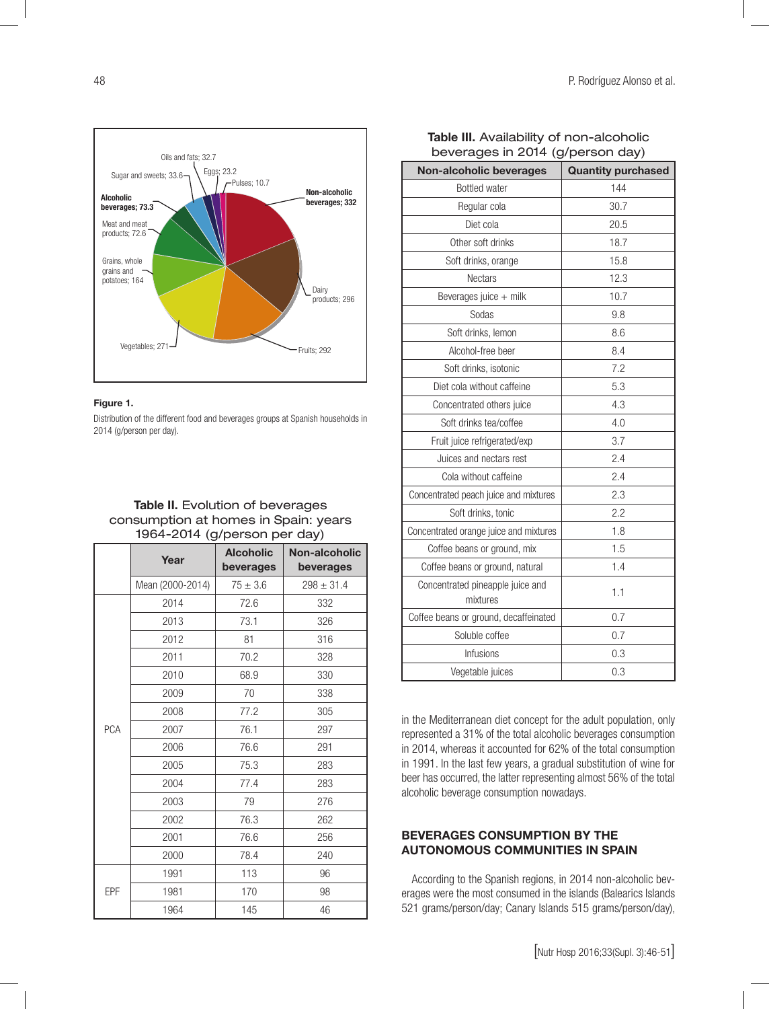

#### Figure 1.

Distribution of the different food and beverages groups at Spanish households in 2014 (g/person per day).

## Table II. Evolution of beverages consumption at homes in Spain: years 1964-2014 (g/person per day)

|            | Year             | <b>Alcoholic</b><br>beverages | Non-alcoholic<br>beverages |
|------------|------------------|-------------------------------|----------------------------|
|            | Mean (2000-2014) | $75 \pm 3.6$                  | $298 \pm 31.4$             |
|            | 2014             | 72.6                          | 332                        |
|            | 2013             | 73.1                          | 326                        |
|            | 2012             | 81                            | 316                        |
|            | 2011             | 70.2                          | 328                        |
|            | 2010             | 68.9                          | 330                        |
|            | 2009             | 70                            | 338                        |
|            | 2008             | 77.2                          | 305                        |
| <b>PCA</b> | 2007             | 76.1                          | 297                        |
|            | 2006             | 76.6                          | 291                        |
|            | 2005             | 75.3                          | 283                        |
|            | 2004             | 77.4                          | 283                        |
|            | 2003             | 79                            | 276                        |
|            | 2002             | 76.3                          | 262                        |
|            | 2001             | 76.6                          | 256                        |
|            | 2000             | 78.4                          | 240                        |
|            | 1991             | 113                           | 96                         |
| EPF        | 1981             | 170                           | 98                         |
|            | 1964             | 145                           | 46                         |

| Non-alcoholic beverages                      | <b>Quantity purchased</b> |  |  |
|----------------------------------------------|---------------------------|--|--|
| <b>Bottled</b> water                         | 144                       |  |  |
| Regular cola                                 | 30.7                      |  |  |
| Diet cola                                    | 20.5                      |  |  |
| Other soft drinks                            | 18.7                      |  |  |
| Soft drinks, orange                          | 15.8                      |  |  |
| <b>Nectars</b>                               | 12.3                      |  |  |
| Beverages juice + milk                       | 10.7                      |  |  |
| Sodas                                        | 9.8                       |  |  |
| Soft drinks, lemon                           | 8.6                       |  |  |
| Alcohol-free beer                            | 8.4                       |  |  |
| Soft drinks, isotonic                        | 7.2                       |  |  |
| Diet cola without caffeine                   | 5.3                       |  |  |
| Concentrated others juice                    | 4.3                       |  |  |
| Soft drinks tea/coffee                       | 4.0                       |  |  |
| Fruit juice refrigerated/exp                 | 3.7                       |  |  |
| Juices and nectars rest                      | 2.4                       |  |  |
| Cola without caffeine                        | 2.4                       |  |  |
| Concentrated peach juice and mixtures        | 2.3                       |  |  |
| Soft drinks, tonic                           | 2.2                       |  |  |
| Concentrated orange juice and mixtures       | 1.8                       |  |  |
| Coffee beans or ground, mix                  | 1.5                       |  |  |
| Coffee beans or ground, natural              | 1.4                       |  |  |
| Concentrated pineapple juice and<br>mixtures | 1.1                       |  |  |
| Coffee beans or ground, decaffeinated        | 0.7                       |  |  |
| Soluble coffee                               | 0.7                       |  |  |
| Infusions                                    | 0.3                       |  |  |
| Vegetable juices                             | 0.3                       |  |  |

### Table III. Availability of non-alcoholic beverages in 2014 (g/person day)

in the Mediterranean diet concept for the adult population, only represented a 31% of the total alcoholic beverages consumption in 2014, whereas it accounted for 62% of the total consumption in 1991. In the last few years, a gradual substitution of wine for beer has occurred, the latter representing almost 56% of the total alcoholic beverage consumption nowadays.

# BEVERAGES CONSUMPTION BY THE AUTONOMOUS COMMUNITIES IN SPAIN

According to the Spanish regions, in 2014 non-alcoholic beverages were the most consumed in the islands (Balearics Islands 521 grams/person/day; Canary Islands 515 grams/person/day),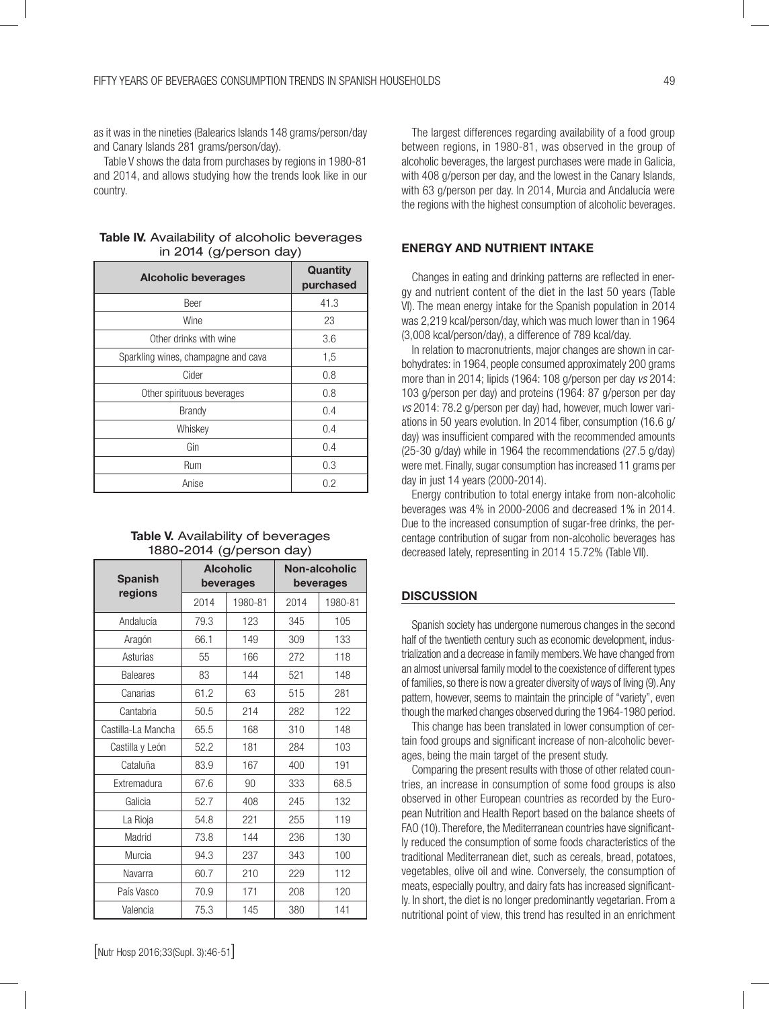as it was in the nineties (Balearics Islands 148 grams/person/day and Canary Islands 281 grams/person/day).

Table V shows the data from purchases by regions in 1980-81 and 2014, and allows studying how the trends look like in our country.

| <b>Table IV.</b> Availability of alcoholic beverages |
|------------------------------------------------------|
| in 2014 (g/person day)                               |

| <b>Alcoholic beverages</b>          | Quantity<br>purchased |
|-------------------------------------|-----------------------|
| Beer                                | 41.3                  |
| Wine                                | 23                    |
| Other drinks with wine              | 3.6                   |
| Sparkling wines, champagne and cava | 1,5                   |
| Cider                               | 0.8                   |
| Other spirituous beverages          | 0.8                   |
| <b>Brandy</b>                       | 0.4                   |
| Whiskey                             | 0.4                   |
| Gin                                 | 0.4                   |
| Rum                                 | 0.3                   |
| Anise                               | 0.2                   |

#### Table V. Availability of beverages 1880-2014 (g/person day)

| <b>Spanish</b>     | <b>Alcoholic</b> |           | Non-alcoholic |         |  |
|--------------------|------------------|-----------|---------------|---------|--|
|                    |                  | beverages | beverages     |         |  |
| regions            | 2014             | 1980-81   | 2014          | 1980-81 |  |
| Andalucía          | 79.3             | 123       | 345           | 105     |  |
| Aragón             | 66.1             | 149       | 309           | 133     |  |
| Asturias           | 55               | 166       | 272           | 118     |  |
| <b>Baleares</b>    | 83               | 144       | 521           | 148     |  |
| Canarias           | 61.2             | 63        | 515           | 281     |  |
| Cantabria          | 50.5             | 214       | 282           | 122     |  |
| Castilla-La Mancha | 65.5             | 168       | 310           | 148     |  |
| Castilla y León    | 52.2             | 181       | 284           | 103     |  |
| Cataluña           | 83.9             | 167       | 400           | 191     |  |
| Extremadura        | 67.6             | 90        | 333           | 68.5    |  |
| Galicia            | 52.7             | 408       | 245           | 132     |  |
| La Rioja           | 54.8             | 221       | 255           | 119     |  |
| Madrid             | 73.8             | 144       | 236           | 130     |  |
| Murcia             | 94.3             | 237       | 343           | 100     |  |
| Navarra            | 60.7             | 210       | 229           | 112     |  |
| País Vasco         | 70.9             | 171       | 208           | 120     |  |
| Valencia           | 75.3             | 145       | 380           | 141     |  |

The largest differences regarding availability of a food group between regions, in 1980-81, was observed in the group of alcoholic beverages, the largest purchases were made in Galicia, with 408 g/person per day, and the lowest in the Canary Islands, with 63 g/person per day. In 2014, Murcia and Andalucía were the regions with the highest consumption of alcoholic beverages.

# ENERGY AND NUTRIENT INTAKE

Changes in eating and drinking patterns are reflected in energy and nutrient content of the diet in the last 50 years (Table VI). The mean energy intake for the Spanish population in 2014 was 2,219 kcal/person/day, which was much lower than in 1964 (3,008 kcal/person/day), a difference of 789 kcal/day.

In relation to macronutrients, major changes are shown in carbohydrates: in 1964, people consumed approximately 200 grams more than in 2014; lipids (1964: 108 g/person per day *vs* 2014: 103 g/person per day) and proteins (1964: 87 g/person per day *vs* 2014: 78.2 g/person per day) had, however, much lower variations in 50 years evolution. In 2014 fiber, consumption (16.6 g/ day) was insufficient compared with the recommended amounts (25-30 g/day) while in 1964 the recommendations (27.5 g/day) were met. Finally, sugar consumption has increased 11 grams per day in just 14 years (2000-2014).

Energy contribution to total energy intake from non-alcoholic beverages was 4% in 2000-2006 and decreased 1% in 2014. Due to the increased consumption of sugar-free drinks, the percentage contribution of sugar from non-alcoholic beverages has decreased lately, representing in 2014 15.72% (Table VII).

# **DISCUSSION**

Spanish society has undergone numerous changes in the second half of the twentieth century such as economic development, industrialization and a decrease in family members. We have changed from an almost universal family model to the coexistence of different types of families, so there is now a greater diversity of ways of living (9). Any pattern, however, seems to maintain the principle of "variety", even though the marked changes observed during the 1964-1980 period.

This change has been translated in lower consumption of certain food groups and significant increase of non-alcoholic beverages, being the main target of the present study.

Comparing the present results with those of other related countries, an increase in consumption of some food groups is also observed in other European countries as recorded by the European Nutrition and Health Report based on the balance sheets of FAO (10). Therefore, the Mediterranean countries have significantly reduced the consumption of some foods characteristics of the traditional Mediterranean diet, such as cereals, bread, potatoes, vegetables, olive oil and wine. Conversely, the consumption of meats, especially poultry, and dairy fats has increased significantly. In short, the diet is no longer predominantly vegetarian. From a nutritional point of view, this trend has resulted in an enrichment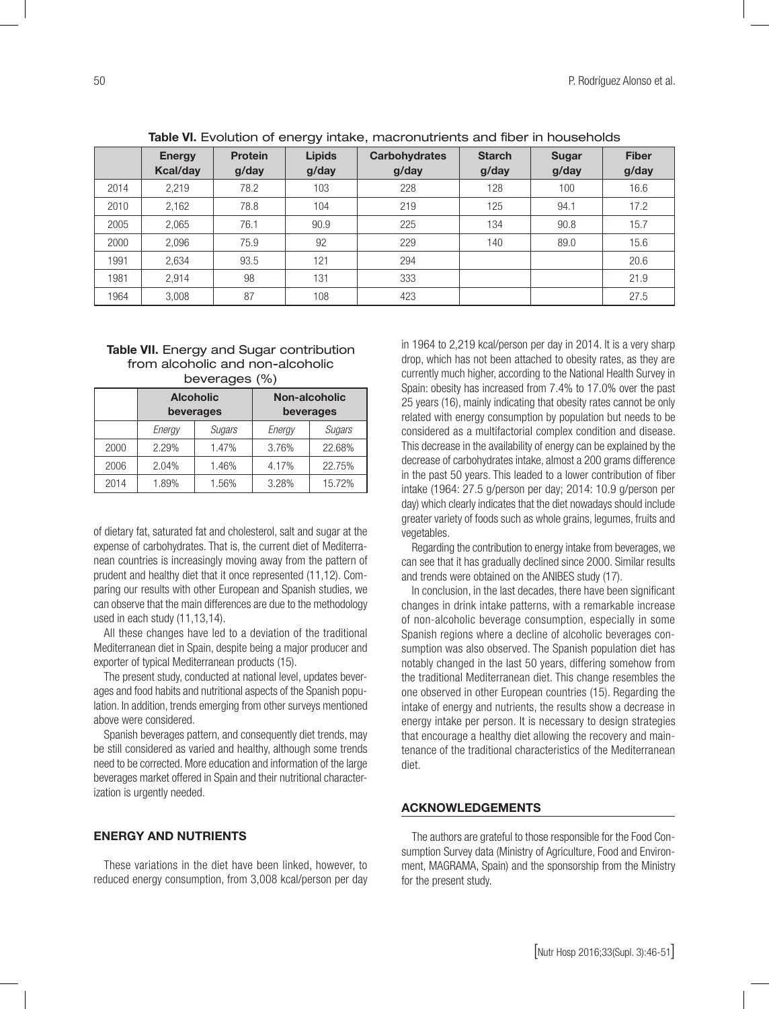|      | <b>TANIV THE FOREIGH OF OHOLY THEORY, HIGH OHIGH OHIGH CHILD HIS HIGH OGGOOF INTERNATION</b> |                         |                        |                               |                        |                |                       |
|------|----------------------------------------------------------------------------------------------|-------------------------|------------------------|-------------------------------|------------------------|----------------|-----------------------|
|      | <b>Energy</b><br><b>Kcal/day</b>                                                             | <b>Protein</b><br>g/day | <b>Lipids</b><br>g/day | <b>Carbohydrates</b><br>g/day | <b>Starch</b><br>g/day | Sugar<br>g/day | <b>Fiber</b><br>g/day |
| 2014 | 2,219                                                                                        | 78.2                    | 103                    | 228                           | 128                    | 100            | 16.6                  |
| 2010 | 2,162                                                                                        | 78.8                    | 104                    | 219                           | 125                    | 94.1           | 17.2                  |
| 2005 | 2,065                                                                                        | 76.1                    | 90.9                   | 225                           | 134                    | 90.8           | 15.7                  |
| 2000 | 2,096                                                                                        | 75.9                    | 92                     | 229                           | 140                    | 89.0           | 15.6                  |
| 1991 | 2,634                                                                                        | 93.5                    | 121                    | 294                           |                        |                | 20.6                  |
| 1981 | 2.914                                                                                        | 98                      | 131                    | 333                           |                        |                | 21.9                  |
| 1964 | 3,008                                                                                        | 87                      | 108                    | 423                           |                        |                | 27.5                  |

Table VI. Evolution of energy intake, macronutrients and fiber in households

#### Table VII. Energy and Sugar contribution from alcoholic and non-alcoholic beverages (%)

|      | <b>Alcoholic</b><br>beverages |        |        | Non-alcoholic<br>beverages |  |  |
|------|-------------------------------|--------|--------|----------------------------|--|--|
|      | Energy                        | Sugars | Energy | Sugars                     |  |  |
| 2000 | 2.29%                         | 1.47%  | 3.76%  | 22.68%                     |  |  |
| 2006 | 2.04%                         | 1.46%  | 4.17%  | 22.75%                     |  |  |
| 2014 | 1.89%                         | 1.56%  | 3.28%  | 15.72%                     |  |  |

of dietary fat, saturated fat and cholesterol, salt and sugar at the expense of carbohydrates. That is, the current diet of Mediterranean countries is increasingly moving away from the pattern of prudent and healthy diet that it once represented (11,12). Comparing our results with other European and Spanish studies, we can observe that the main differences are due to the methodology used in each study (11,13,14).

All these changes have led to a deviation of the traditional Mediterranean diet in Spain, despite being a major producer and exporter of typical Mediterranean products (15).

The present study, conducted at national level, updates beverages and food habits and nutritional aspects of the Spanish population. In addition, trends emerging from other surveys mentioned above were considered.

Spanish beverages pattern, and consequently diet trends, may be still considered as varied and healthy, although some trends need to be corrected. More education and information of the large beverages market offered in Spain and their nutritional characterization is urgently needed.

#### ENERGY AND NUTRIENTS

These variations in the diet have been linked, however, to reduced energy consumption, from 3,008 kcal/person per day in 1964 to 2,219 kcal/person per day in 2014. It is a very sharp drop, which has not been attached to obesity rates, as they are currently much higher, according to the National Health Survey in Spain: obesity has increased from 7.4% to 17.0% over the past 25 years (16), mainly indicating that obesity rates cannot be only related with energy consumption by population but needs to be considered as a multifactorial complex condition and disease. This decrease in the availability of energy can be explained by the decrease of carbohydrates intake, almost a 200 grams difference in the past 50 years. This leaded to a lower contribution of fiber intake (1964: 27.5 g/person per day; 2014: 10.9 g/person per day) which clearly indicates that the diet nowadays should include greater variety of foods such as whole grains, legumes, fruits and vegetables.

Regarding the contribution to energy intake from beverages, we can see that it has gradually declined since 2000. Similar results and trends were obtained on the ANIBES study (17).

In conclusion, in the last decades, there have been significant changes in drink intake patterns, with a remarkable increase of non-alcoholic beverage consumption, especially in some Spanish regions where a decline of alcoholic beverages consumption was also observed. The Spanish population diet has notably changed in the last 50 years, differing somehow from the traditional Mediterranean diet. This change resembles the one observed in other European countries (15). Regarding the intake of energy and nutrients, the results show a decrease in energy intake per person. It is necessary to design strategies that encourage a healthy diet allowing the recovery and maintenance of the traditional characteristics of the Mediterranean diet.

#### ACKNOWLEDGEMENTS

The authors are grateful to those responsible for the Food Consumption Survey data (Ministry of Agriculture, Food and Environment, MAGRAMA, Spain) and the sponsorship from the Ministry for the present study.